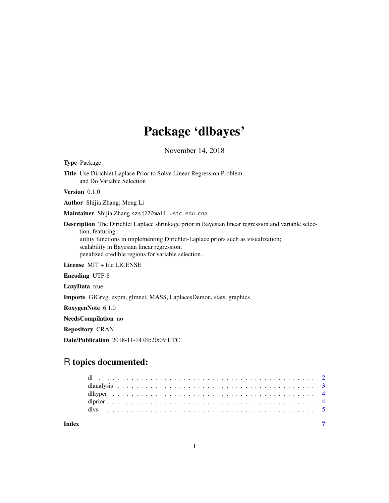# Package 'dlbayes'

November 14, 2018

Type Package Title Use Dirichlet Laplace Prior to Solve Linear Regression Problem and Do Variable Selection Version 0.1.0 Author Shijia Zhang; Meng Li Maintainer Shijia Zhang <zsj27@mail.ustc.edu.cn> Description The Dirichlet Laplace shrinkage prior in Bayesian linear regression and variable selection, featuring: utility functions in implementing Dirichlet-Laplace priors such as visualization; scalability in Bayesian linear regression; penalized credible regions for variable selection. License MIT + file LICENSE Encoding UTF-8 LazyData true Imports GIGrvg, expm, glmnet, MASS, LaplacesDemon, stats, graphics

RoxygenNote 6.1.0

NeedsCompilation no

Repository CRAN

Date/Publication 2018-11-14 09:20:09 UTC

## R topics documented:

| Index |  |  |  |  |  |  |  |  |  |  |  |  |  |  |  |  |  |  |  |  |  |  |
|-------|--|--|--|--|--|--|--|--|--|--|--|--|--|--|--|--|--|--|--|--|--|--|
|       |  |  |  |  |  |  |  |  |  |  |  |  |  |  |  |  |  |  |  |  |  |  |
|       |  |  |  |  |  |  |  |  |  |  |  |  |  |  |  |  |  |  |  |  |  |  |
|       |  |  |  |  |  |  |  |  |  |  |  |  |  |  |  |  |  |  |  |  |  |  |
|       |  |  |  |  |  |  |  |  |  |  |  |  |  |  |  |  |  |  |  |  |  |  |
|       |  |  |  |  |  |  |  |  |  |  |  |  |  |  |  |  |  |  |  |  |  |  |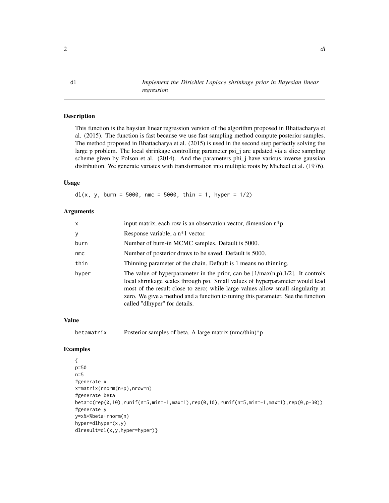<span id="page-1-0"></span>dl *Implement the Dirichlet Laplace shrinkage prior in Bayesian linear regression*

#### Description

This function is the baysian linear regression version of the algorithm proposed in Bhattacharya et al. (2015). The function is fast because we use fast sampling method compute posterior samples. The method proposed in Bhattacharya et al. (2015) is used in the second step perfectly solving the large p problem. The local shrinkage controlling parameter psi\_j are updated via a slice sampling scheme given by Polson et al. (2014). And the parameters phi\_j have various inverse gaussian distribution. We generate variates with transformation into multiple roots by Michael et al. (1976).

#### Usage

 $dl(x, y, burn = 5000, nmc = 5000, thin = 1, hyper = 1/2)$ 

#### **Arguments**

| x     | input matrix, each row is an observation vector, dimension n*p.                                                                                                                                                                                                                                                                                                             |
|-------|-----------------------------------------------------------------------------------------------------------------------------------------------------------------------------------------------------------------------------------------------------------------------------------------------------------------------------------------------------------------------------|
| У     | Response variable, a n <sup>*1</sup> vector.                                                                                                                                                                                                                                                                                                                                |
| burn  | Number of burn-in MCMC samples. Default is 5000.                                                                                                                                                                                                                                                                                                                            |
| nmc   | Number of posterior draws to be saved. Default is 5000.                                                                                                                                                                                                                                                                                                                     |
| thin  | Thinning parameter of the chain. Default is 1 means no thinning.                                                                                                                                                                                                                                                                                                            |
| hyper | The value of hyperparameter in the prior, can be $[1/\max(n,p),1/2]$ . It controls<br>local shrinkage scales through psi. Small values of hyperparameter would lead<br>most of the result close to zero; while large values allow small singularity at<br>zero. We give a method and a function to tuning this parameter. See the function<br>called "dlhyper" for details. |

#### Value

betamatrix Posterior samples of beta. A large matrix (nmc/thin)\*p

#### Examples

```
{
p=50
n=5
#generate x
x=matrix(rnorm(n*p),nrow=n)
#generate beta
beta=c(rep(0,10),runif(n=5,min=-1,max=1),rep(0,10),runif(n=5,min=-1,max=1),rep(0,p-30))
#generate y
y=x%*%beta+rnorm(n)
hyper=dlhyper(x,y)
dlresult=dl(x,y,hyper=hyper)}
```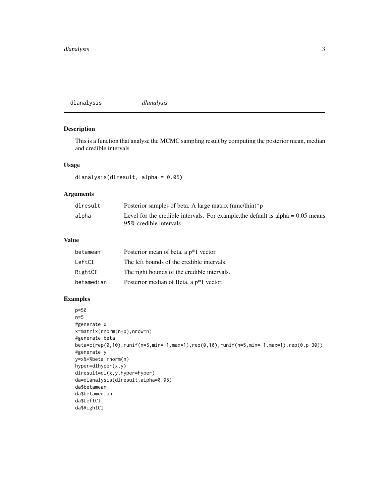<span id="page-2-0"></span>dlanalysis *dlanalysis*

#### Description

This is a function that analyse the MCMC sampling result by computing the posterior mean, median and credible intervals

#### Usage

dlanalysis(dlresult, alpha = 0.05)

#### Arguments

| dlresult | Posterior samples of beta. A large matrix $(mmclthin)*p$                                                      |
|----------|---------------------------------------------------------------------------------------------------------------|
| alpha    | Level for the credible intervals. For example, the default is alpha $= 0.05$ means<br>95\% credible intervals |

#### Value

| betamean   | Posterior mean of beta, a p*1 vector.       |
|------------|---------------------------------------------|
| LeftCI     | The left bounds of the credible intervals.  |
| RightCI    | The right bounds of the credible intervals. |
| betamedian | Posterior median of Beta, a p*1 vector.     |

#### Examples

```
p=50
n=5
#generate x
x=matrix(rnorm(n*p),nrow=n)
#generate beta
beta=c(rep(0,10),runif(n=5,min=-1,max=1),rep(0,10),runif(n=5,min=-1,max=1),rep(0,p-30))
#generate y
y=x%*%beta+rnorm(n)
hyper=dlhyper(x,y)
dlresult=dl(x,y,hyper=hyper)
da=dlanalysis(dlresult,alpha=0.05)
da$betamean
da$betamedian
da$LeftCI
da$RightCI
```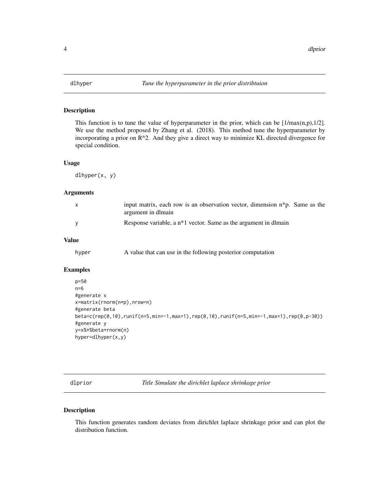<span id="page-3-0"></span>

#### Description

This function is to tune the value of hyperparameter in the prior, which can be  $[1/\max(n,p),1/2]$ . We use the method proposed by Zhang et al. (2018). This method tune the hyperparameter by incorporating a prior on R^2. And they give a direct way to minimize KL directed divergence for special condition.

#### Usage

dlhyper(x, y)

#### Arguments

| X | input matrix, each row is an observation vector, dimension $n^*p$ . Same as the<br>argument in dimain |
|---|-------------------------------------------------------------------------------------------------------|
|   | Response variable, a $n*1$ vector. Same as the argument in dlmain                                     |

#### Value

| hyper |  |  |  |  |  | A value that can use in the following posterior computation |
|-------|--|--|--|--|--|-------------------------------------------------------------|
|-------|--|--|--|--|--|-------------------------------------------------------------|

#### Examples

```
p=50
n=6
#generate x
x=matrix(rnorm(n*p),nrow=n)
#generate beta
beta=c(rep(0,10),runif(n=5,min=-1,max=1),rep(0,10),runif(n=5,min=-1,max=1),rep(0,p-30))
#generate y
y=x%*%beta+rnorm(n)
hyper=dlhyper(x,y)
```
dlprior *Title Simulate the dirichlet laplace shrinkage prior*

#### Description

This function generates random deviates from dirichlet laplace shrinkage prior and can plot the distribution function.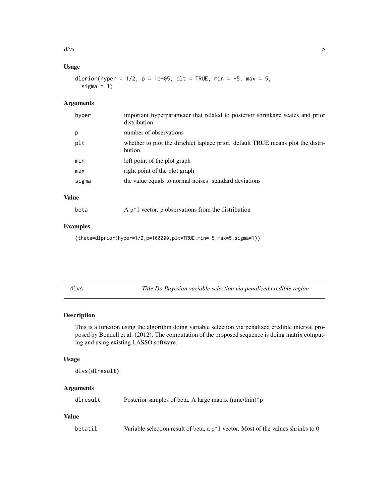<span id="page-4-0"></span>dlvs 5

## Usage

```
dlprior(hyper = 1/2, p = 1e+05, plt = TRUE, min = -5, max = 5,
  sigma = 1)
```
#### Arguments

| hyper | important hyperparameter that related to posterior shrinkage scales and prior<br>distribution |
|-------|-----------------------------------------------------------------------------------------------|
| p     | number of observations                                                                        |
| plt   | whether to plot the dirichlet laplace prior. default TRUE means plot the distri-<br>bution    |
| min   | left point of the plot graph                                                                  |
| max   | right point of the plot graph                                                                 |
| sigma | the value equals to normal noises' standard deviations                                        |
|       |                                                                                               |

### Value

| beta |  |  |  |  |  |  | A $p*1$ vector. p observations from the distribution |  |
|------|--|--|--|--|--|--|------------------------------------------------------|--|
|------|--|--|--|--|--|--|------------------------------------------------------|--|

#### Examples

{theta=dlprior(hyper=1/2,p=100000,plt=TRUE,min=-5,max=5,sigma=1)}

Title Do Bayesian variable selection via penalized credible region

#### Description

This is a function using the algorithm doing variable selection via penalized credible interval proposed by Bondell et al. (2012). The computation of the proposed sequence is doing matrix computing and using existing LASSO software.

#### Usage

```
dlvs(dlresult)
```
#### Arguments

dlresult Posterior samples of beta. A large matrix (nmc/thin)\*p

## Value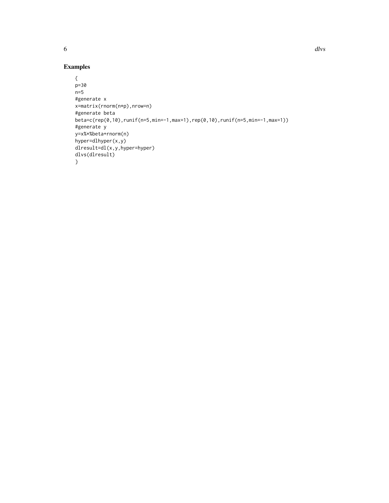```
{
p=30
n=5
#generate x
x=matrix(rnorm(n*p),nrow=n)
#generate beta
beta=c(rep(0,10),runif(n=5,min=-1,max=1),rep(0,10),runif(n=5,min=-1,max=1))
#generate y
y=x%*%beta+rnorm(n)
hyper=dlhyper(x,y)
dlresult=dl(x,y,hyper=hyper)
dlvs(dlresult)
}
```